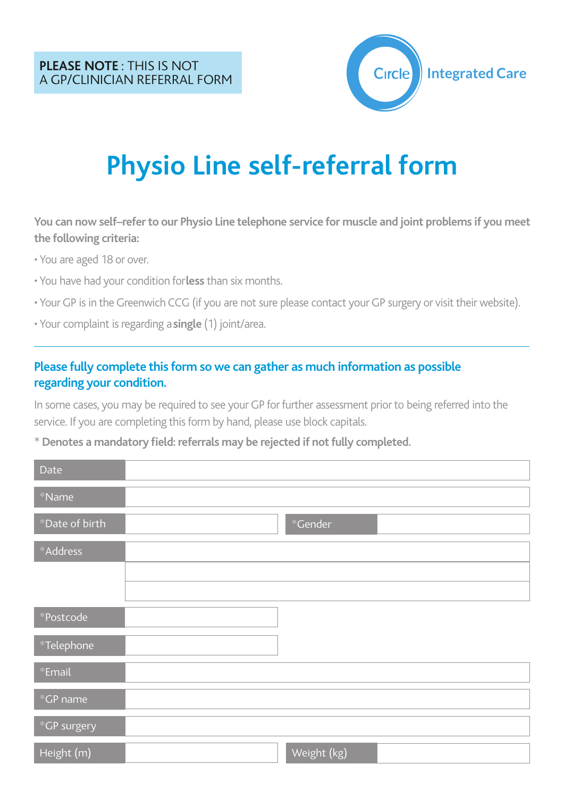

# **Physio Line self-referral form**

You can now self-refer to our Physio Line telephone service for muscle and joint problems if you meet **the following criteria:**

• You are aged 18 or over.

- You have had your condition for**less** than six months.
- YourGP is in the Greenwich CCG (if you are not sure please contact your GP surgery or visit their website).
- Your complaint is regarding a**single** (1) joint/area.

#### **Please fully complete this form so we can gather as much information as possible regarding your condition.**

In some cases, you may be required to see your GP for further assessment prior to being referred into the service. If you are completing this form by hand, please use block capitals.

\* **Denotes a mandatory field: referrals may be rejected if notfully completed.**

| Date           |             |
|----------------|-------------|
| $*$ Name       |             |
| *Date of birth | *Gender     |
| *Address       |             |
|                |             |
|                |             |
| *Postcode      |             |
| $*$ Telephone  |             |
| *Email         |             |
| $*$ GP name    |             |
| *GP surgery    |             |
| Height (m)     | Weight (kg) |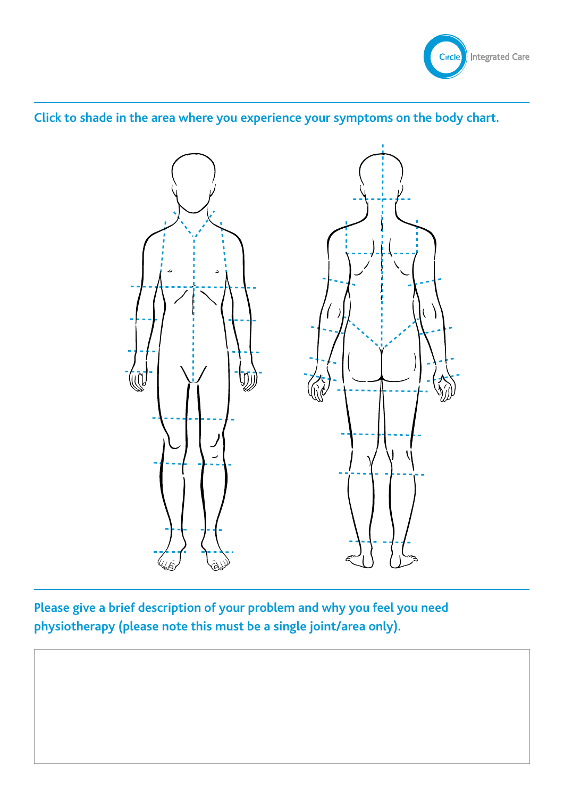

### **Click to shade in the area where you experience your symptoms on the body chart.**



**Please give a brief description of your problem and why you feel you need physiotherapy (please note this must be a single joint/area only).**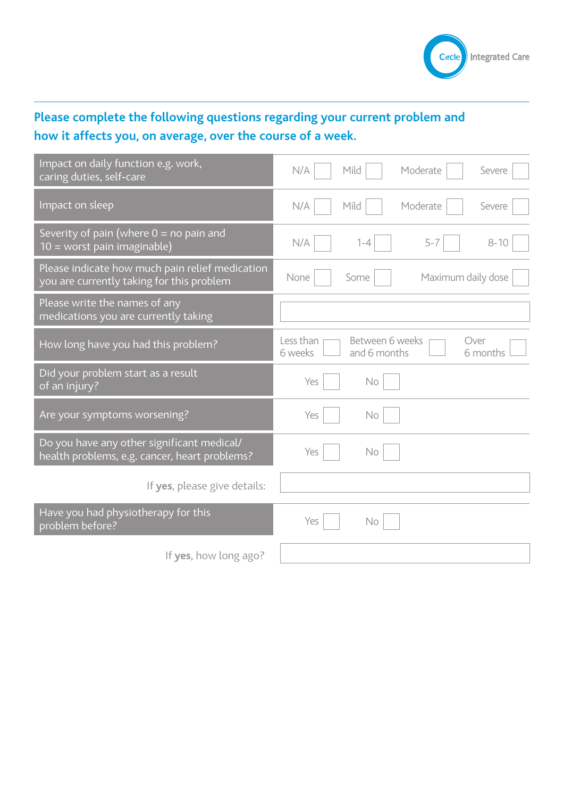

# **Please complete the following questions regarding your current problem and how it affects you, on average, over the course of a week.**

| Impact on daily function e.g. work,<br>caring duties, self-care                              | Mild<br>N/A<br>Moderate<br>Severe                                           |
|----------------------------------------------------------------------------------------------|-----------------------------------------------------------------------------|
| Impact on sleep                                                                              | Mild<br>Moderate<br>N/A<br>Severe                                           |
| Severity of pain (where $0 =$ no pain and<br>10 = worst pain imaginable)                     | $5 - 7$<br>$8 - 10$<br>N/A<br>$1 - 4$                                       |
| Please indicate how much pain relief medication<br>you are currently taking for this problem | Maximum daily dose<br>None<br>Some                                          |
| Please write the names of any<br>medications you are currently taking                        |                                                                             |
| How long have you had this problem?                                                          | Less than<br>Between 6 weeks<br>Over<br>6 weeks<br>and 6 months<br>6 months |
| Did your problem start as a result<br>of an injury?                                          | Yes<br>No                                                                   |
| Are your symptoms worsening?                                                                 | Yes<br><b>No</b>                                                            |
| Do you have any other significant medical/<br>health problems, e.g. cancer, heart problems?  | Yes<br><b>No</b>                                                            |
| If yes, please give details:                                                                 |                                                                             |
| Have you had physiotherapy for this<br>problem before?                                       | Yes<br>No                                                                   |
| If yes, how long ago?                                                                        |                                                                             |